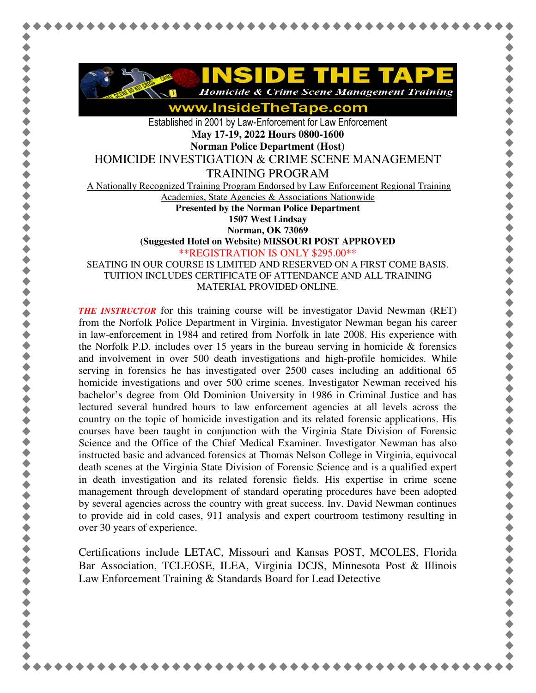

**Homicide & Crime Scene Management Training** 

www.InsideTheTape.com

Established in 2001 by Law-Enforcement for Law Enforcement **May 17-19, 2022 Hours 0800-1600** 

**Norman Police Department (Host)** 

HOMICIDE INVESTIGATION & CRIME SCENE MANAGEMENT

TRAINING PROGRAM

A Nationally Recognized Training Program Endorsed by Law Enforcement Regional Training

Academies, State Agencies & Associations Nationwide

**Presented by the Norman Police Department** 

**1507 West Lindsay** 

**Norman, OK 73069** 

**(Suggested Hotel on Website) MISSOURI POST APPROVED**

\*\*REGISTRATION IS ONLY \$295.00\*\*

SEATING IN OUR COURSE IS LIMITED AND RESERVED ON A FIRST COME BASIS. TUITION INCLUDES CERTIFICATE OF ATTENDANCE AND ALL TRAINING MATERIAL PROVIDED ONLINE.

*THE INSTRUCTOR* for this training course will be investigator David Newman (RET) from the Norfolk Police Department in Virginia. Investigator Newman began his career in law-enforcement in 1984 and retired from Norfolk in late 2008. His experience with the Norfolk P.D. includes over 15 years in the bureau serving in homicide  $\&$  forensics and involvement in over 500 death investigations and high-profile homicides. While serving in forensics he has investigated over 2500 cases including an additional 65 homicide investigations and over 500 crime scenes. Investigator Newman received his bachelor's degree from Old Dominion University in 1986 in Criminal Justice and has lectured several hundred hours to law enforcement agencies at all levels across the country on the topic of homicide investigation and its related forensic applications. His courses have been taught in conjunction with the Virginia State Division of Forensic Science and the Office of the Chief Medical Examiner. Investigator Newman has also instructed basic and advanced forensics at Thomas Nelson College in Virginia, equivocal death scenes at the Virginia State Division of Forensic Science and is a qualified expert in death investigation and its related forensic fields. His expertise in crime scene management through development of standard operating procedures have been adopted by several agencies across the country with great success. Inv. David Newman continues to provide aid in cold cases, 911 analysis and expert courtroom testimony resulting in over 30 years of experience.

Certifications include LETAC, Missouri and Kansas POST, MCOLES, Florida Bar Association, TCLEOSE, ILEA, Virginia DCJS, Minnesota Post & Illinois Law Enforcement Training & Standards Board for Lead Detective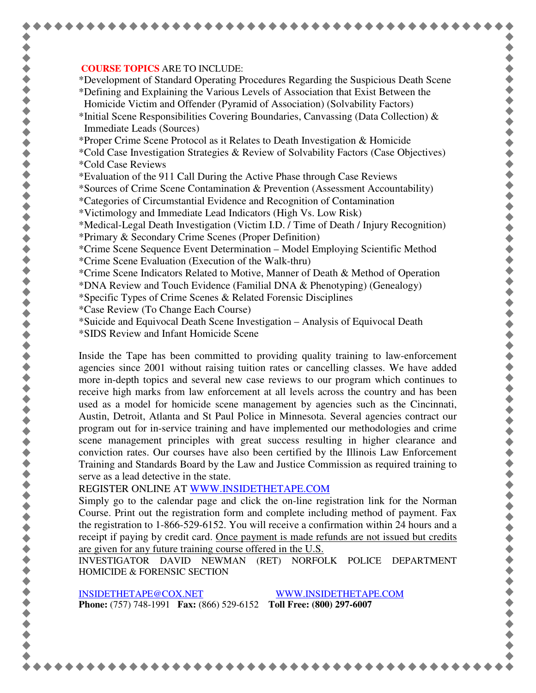## **COURSE TOPICS** ARE TO INCLUDE:

\*Development of Standard Operating Procedures Regarding the Suspicious Death Scene \*Defining and Explaining the Various Levels of Association that Exist Between the Homicide Victim and Offender (Pyramid of Association) (Solvability Factors)

\*Initial Scene Responsibilities Covering Boundaries, Canvassing (Data Collection)  $\&$ Immediate Leads (Sources)

\*Proper Crime Scene Protocol as it Relates to Death Investigation & Homicide

- \*Cold Case Investigation Strategies & Review of Solvability Factors (Case Objectives) \*Cold Case Reviews
- \*Evaluation of the 911 Call During the Active Phase through Case Reviews

\*Sources of Crime Scene Contamination & Prevention (Assessment Accountability)

- \*Categories of Circumstantial Evidence and Recognition of Contamination
- \*Victimology and Immediate Lead Indicators (High Vs. Low Risk)

\*Medical-Legal Death Investigation (Victim I.D. / Time of Death / Injury Recognition)

- \*Primary & Secondary Crime Scenes (Proper Definition)
- \*Crime Scene Sequence Event Determination Model Employing Scientific Method \*Crime Scene Evaluation (Execution of the Walk-thru)
- \*Crime Scene Indicators Related to Motive, Manner of Death & Method of Operation

\*DNA Review and Touch Evidence (Familial DNA & Phenotyping) (Genealogy)

- \*Specific Types of Crime Scenes & Related Forensic Disciplines
- \*Case Review (To Change Each Course)
- \*Suicide and Equivocal Death Scene Investigation Analysis of Equivocal Death
- \*SIDS Review and Infant Homicide Scene

Inside the Tape has been committed to providing quality training to law-enforcement agencies since 2001 without raising tuition rates or cancelling classes. We have added more in-depth topics and several new case reviews to our program which continues to receive high marks from law enforcement at all levels across the country and has been used as a model for homicide scene management by agencies such as the Cincinnati, Austin, Detroit, Atlanta and St Paul Police in Minnesota. Several agencies contract our program out for in-service training and have implemented our methodologies and crime scene management principles with great success resulting in higher clearance and conviction rates. Our courses have also been certified by the Illinois Law Enforcement Training and Standards Board by the Law and Justice Commission as required training to serve as a lead detective in the state.

REGISTER ONLINE AT WWW.INSIDETHETAPE.COM

Simply go to the calendar page and click the on-line registration link for the Norman Course. Print out the registration form and complete including method of payment. Fax the registration to 1-866-529-6152. You will receive a confirmation within 24 hours and a receipt if paying by credit card. Once payment is made refunds are not issued but credits are given for any future training course offered in the U.S.

INVESTIGATOR DAVID NEWMAN (RET) NORFOLK POLICE DEPARTMENT HOMICIDE & FORENSIC SECTION

INSIDETHETAPE@COX.NET WWW.INSIDETHETAPE.COM **Phone:** (757) 748-1991 **Fax:** (866) 529-6152 **Toll Free: (800) 297-6007**